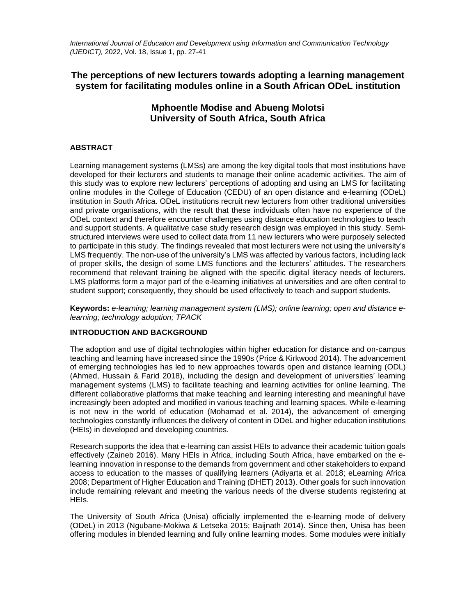*International Journal of Education and Development using Information and Communication Technology (IJEDICT),* 2022, Vol. 18, Issue 1, pp. 27-41

# **The perceptions of new lecturers towards adopting a learning management system for facilitating modules online in a South African ODeL institution**

# **Mphoentle Modise and Abueng Molotsi University of South Africa, South Africa**

# **ABSTRACT**

Learning management systems (LMSs) are among the key digital tools that most institutions have developed for their lecturers and students to manage their online academic activities. The aim of this study was to explore new lecturers' perceptions of adopting and using an LMS for facilitating online modules in the College of Education (CEDU) of an open distance and e-learning (ODeL) institution in South Africa. ODeL institutions recruit new lecturers from other traditional universities and private organisations, with the result that these individuals often have no experience of the ODeL context and therefore encounter challenges using distance education technologies to teach and support students. A qualitative case study research design was employed in this study. Semistructured interviews were used to collect data from 11 new lecturers who were purposely selected to participate in this study. The findings revealed that most lecturers were not using the university's LMS frequently. The non-use of the university's LMS was affected by various factors, including lack of proper skills, the design of some LMS functions and the lecturers' attitudes. The researchers recommend that relevant training be aligned with the specific digital literacy needs of lecturers. LMS platforms form a major part of the e-learning initiatives at universities and are often central to student support; consequently, they should be used effectively to teach and support students.

**Keywords:** *e-learning; learning management system (LMS); online learning; open and distance elearning; technology adoption; TPACK*

# **INTRODUCTION AND BACKGROUND**

The adoption and use of digital technologies within higher education for distance and on-campus teaching and learning have increased since the 1990s (Price & Kirkwood 2014). The advancement of emerging technologies has led to new approaches towards open and distance learning (ODL) (Ahmed, Hussain & Farid 2018), including the design and development of universities' learning management systems (LMS) to facilitate teaching and learning activities for online learning. The different collaborative platforms that make teaching and learning interesting and meaningful have increasingly been adopted and modified in various teaching and learning spaces. While e-learning is not new in the world of education (Mohamad et al. 2014), the advancement of emerging technologies constantly influences the delivery of content in ODeL and higher education institutions (HEIs) in developed and developing countries.

Research supports the idea that e-learning can assist HEIs to advance their academic tuition goals effectively (Zaineb 2016). Many HEIs in Africa, including South Africa, have embarked on the elearning innovation in response to the demands from government and other stakeholders to expand access to education to the masses of qualifying learners (Adiyarta et al. 2018; eLearning Africa 2008; Department of Higher Education and Training (DHET) 2013). Other goals for such innovation include remaining relevant and meeting the various needs of the diverse students registering at HEIs.

The University of South Africa (Unisa) officially implemented the e-learning mode of delivery (ODeL) in 2013 (Ngubane-Mokiwa & Letseka 2015; Baijnath 2014). Since then, Unisa has been offering modules in blended learning and fully online learning modes. Some modules were initially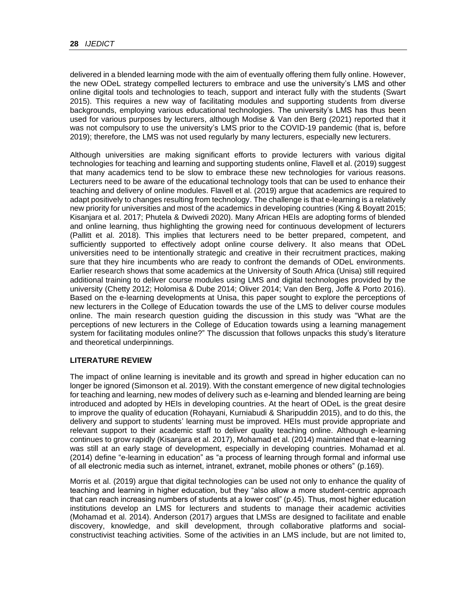delivered in a blended learning mode with the aim of eventually offering them fully online. However, the new ODeL strategy compelled lecturers to embrace and use the university's LMS and other online digital tools and technologies to teach, support and interact fully with the students (Swart 2015). This requires a new way of facilitating modules and supporting students from diverse backgrounds, employing various educational technologies. The university's LMS has thus been used for various purposes by lecturers, although Modise & Van den Berg (2021) reported that it was not compulsory to use the university's LMS prior to the COVID-19 pandemic (that is, before 2019); therefore, the LMS was not used regularly by many lecturers, especially new lecturers.

Although universities are making significant efforts to provide lecturers with various digital technologies for teaching and learning and supporting students online, Flavell et al. (2019) suggest that many academics tend to be slow to embrace these new technologies for various reasons. Lecturers need to be aware of the educational technology tools that can be used to enhance their teaching and delivery of online modules. Flavell et al. (2019) argue that academics are required to adapt positively to changes resulting from technology. The challenge is that e-learning is a relatively new priority for universities and most of the academics in developing countries (King & Boyatt 2015; Kisanjara et al. 2017; Phutela & Dwivedi 2020). Many African HEIs are adopting forms of blended and online learning, thus highlighting the growing need for continuous development of lecturers (Pallitt et al. 2018). This implies that lecturers need to be better prepared, competent, and sufficiently supported to effectively adopt online course delivery. It also means that ODeL universities need to be intentionally strategic and creative in their recruitment practices, making sure that they hire incumbents who are ready to confront the demands of ODeL environments. Earlier research shows that some academics at the University of South Africa (Unisa) still required additional training to deliver course modules using LMS and digital technologies provided by the university (Chetty 2012; Holomisa & Dube 2014; Oliver 2014; Van den Berg, Joffe & Porto 2016). Based on the e-learning developments at Unisa, this paper sought to explore the perceptions of new lecturers in the College of Education towards the use of the LMS to deliver course modules online. The main research question guiding the discussion in this study was "What are the perceptions of new lecturers in the College of Education towards using a learning management system for facilitating modules online?" The discussion that follows unpacks this study's literature and theoretical underpinnings.

## **LITERATURE REVIEW**

The impact of online learning is inevitable and its growth and spread in higher education can no longer be ignored (Simonson et al. 2019). With the constant emergence of new digital technologies for teaching and learning, new modes of delivery such as e-learning and blended learning are being introduced and adopted by HEIs in developing countries. At the heart of ODeL is the great desire to improve the quality of education (Rohayani, Kurniabudi & Sharipuddin 2015), and to do this, the delivery and support to students' learning must be improved. HEIs must provide appropriate and relevant support to their academic staff to deliver quality teaching online. Although e-learning continues to grow rapidly (Kisanjara et al. 2017), Mohamad et al. (2014) maintained that e-learning was still at an early stage of development, especially in developing countries. Mohamad et al. (2014) define "e-learning in education" as "a process of learning through formal and informal use of all electronic media such as internet, intranet, extranet, mobile phones or others" (p.169).

Morris et al. (2019) argue that digital technologies can be used not only to enhance the quality of teaching and learning in higher education, but they "also allow a more student-centric approach that can reach increasing numbers of students at a lower cost" (p.45). Thus, most higher education institutions develop an LMS for lecturers and students to manage their academic activities (Mohamad et al. 2014). Anderson (2017) argues that LMSs are designed to facilitate and enable discovery, knowledge, and skill development, through collaborative platforms and socialconstructivist teaching activities. Some of the activities in an LMS include, but are not limited to,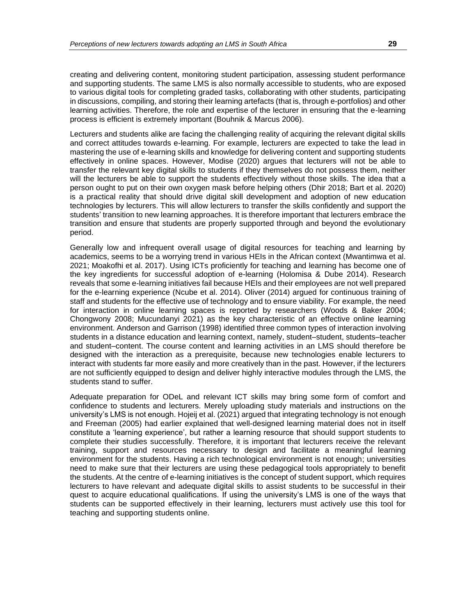creating and delivering content, monitoring student participation, assessing student performance and supporting students. The same LMS is also normally accessible to students, who are exposed to various digital tools for completing graded tasks, collaborating with other students, participating in discussions, compiling, and storing their learning artefacts (that is, through e-portfolios) and other learning activities. Therefore, the role and expertise of the lecturer in ensuring that the e-learning process is efficient is extremely important (Bouhnik & Marcus 2006).

Lecturers and students alike are facing the challenging reality of acquiring the relevant digital skills and correct attitudes towards e-learning. For example, lecturers are expected to take the lead in mastering the use of e-learning skills and knowledge for delivering content and supporting students effectively in online spaces. However, Modise (2020) argues that lecturers will not be able to transfer the relevant key digital skills to students if they themselves do not possess them, neither will the lecturers be able to support the students effectively without those skills. The idea that a person ought to put on their own oxygen mask before helping others (Dhir 2018; Bart et al. 2020) is a practical reality that should drive digital skill development and adoption of new education technologies by lecturers. This will allow lecturers to transfer the skills confidently and support the students' transition to new learning approaches. It is therefore important that lecturers embrace the transition and ensure that students are properly supported through and beyond the evolutionary period.

Generally low and infrequent overall usage of digital resources for teaching and learning by academics, seems to be a worrying trend in various HEIs in the African context (Mwantimwa et al. 2021; Moakofhi et al. 2017). Using ICTs proficiently for teaching and learning has become one of the key ingredients for successful adoption of e-learning (Holomisa & Dube 2014). Research reveals that some e-learning initiatives fail because HEIs and their employees are not well prepared for the e-learning experience (Ncube et al. 2014). Oliver (2014) argued for continuous training of staff and students for the effective use of technology and to ensure viability. For example, the need for interaction in online learning spaces is reported by researchers (Woods & Baker 2004; Chongwony 2008; Mucundanyi 2021) as the key characteristic of an effective online learning environment. Anderson and Garrison (1998) identified three common types of interaction involving students in a distance education and learning context, namely, student–student, students–teacher and student–content. The course content and learning activities in an LMS should therefore be designed with the interaction as a prerequisite, because new technologies enable lecturers to interact with students far more easily and more creatively than in the past. However, if the lecturers are not sufficiently equipped to design and deliver highly interactive modules through the LMS, the students stand to suffer.

Adequate preparation for ODeL and relevant ICT skills may bring some form of comfort and confidence to students and lecturers. Merely uploading study materials and instructions on the university's LMS is not enough. Hojeij et al. (2021) argued that integrating technology is not enough and Freeman (2005) had earlier explained that well-designed learning material does not in itself constitute a 'learning experience', but rather a learning resource that should support students to complete their studies successfully. Therefore, it is important that lecturers receive the relevant training, support and resources necessary to design and facilitate a meaningful learning environment for the students. Having a rich technological environment is not enough; universities need to make sure that their lecturers are using these pedagogical tools appropriately to benefit the students. At the centre of e-learning initiatives is the concept of student support, which requires lecturers to have relevant and adequate digital skills to assist students to be successful in their quest to acquire educational qualifications. If using the university's LMS is one of the ways that students can be supported effectively in their learning, lecturers must actively use this tool for teaching and supporting students online.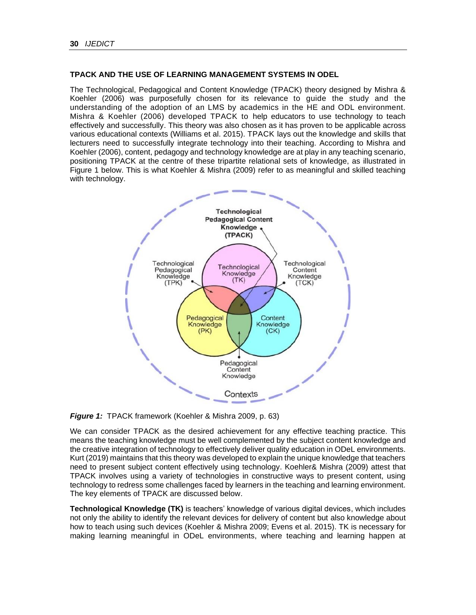# **TPACK AND THE USE OF LEARNING MANAGEMENT SYSTEMS IN ODEL**

The Technological, Pedagogical and Content Knowledge (TPACK) theory designed by Mishra & Koehler (2006) was purposefully chosen for its relevance to guide the study and the understanding of the adoption of an LMS by academics in the HE and ODL environment. Mishra & Koehler (2006) developed TPACK to help educators to use technology to teach effectively and successfully. This theory was also chosen as it has proven to be applicable across various educational contexts (Williams et al. 2015). TPACK lays out the knowledge and skills that lecturers need to successfully integrate technology into their teaching. According to Mishra and Koehler (2006), content, pedagogy and technology knowledge are at play in any teaching scenario, positioning TPACK at the centre of these tripartite relational sets of knowledge, as illustrated in Figure 1 below. This is what Koehler & Mishra (2009) refer to as meaningful and skilled teaching with technology.



**Figure 1: TPACK** framework (Koehler & Mishra 2009, p. 63)

We can consider TPACK as the desired achievement for any effective teaching practice. This means the teaching knowledge must be well complemented by the subject content knowledge and the creative integration of technology to effectively deliver quality education in ODeL environments. Kurt (2019) maintains that this theory was developed to explain the unique knowledge that teachers need to present subject content effectively using technology. Koehler& Mishra (2009) attest that TPACK involves using a variety of technologies in constructive ways to present content, using technology to redress some challenges faced by learners in the teaching and learning environment. The key elements of TPACK are discussed below.

**Technological Knowledge (TK)** is teachers' knowledge of various digital devices, which includes not only the ability to identify the relevant devices for delivery of content but also knowledge about how to teach using such devices (Koehler & Mishra 2009; Evens et al. 2015). TK is necessary for making learning meaningful in ODeL environments, where teaching and learning happen at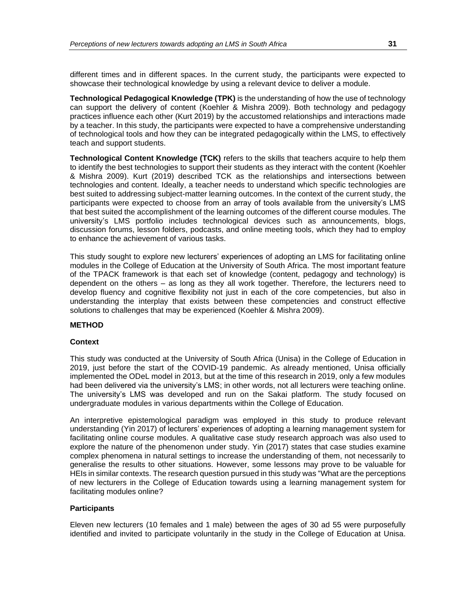different times and in different spaces. In the current study, the participants were expected to showcase their technological knowledge by using a relevant device to deliver a module.

**Technological Pedagogical Knowledge (TPK)** is the understanding of how the use of technology can support the delivery of content (Koehler & Mishra 2009). Both technology and pedagogy practices influence each other (Kurt 2019) by the accustomed relationships and interactions made by a teacher. In this study, the participants were expected to have a comprehensive understanding of technological tools and how they can be integrated pedagogically within the LMS, to effectively teach and support students.

**Technological Content Knowledge (TCK)** refers to the skills that teachers acquire to help them to identify the best technologies to support their students as they interact with the content (Koehler & Mishra 2009). Kurt (2019) described TCK as the relationships and intersections between technologies and content. Ideally, a teacher needs to understand which specific technologies are best suited to addressing subject-matter learning outcomes. In the context of the current study, the participants were expected to choose from an array of tools available from the university's LMS that best suited the accomplishment of the learning outcomes of the different course modules. The university's LMS portfolio includes technological devices such as announcements, blogs, discussion forums, lesson folders, podcasts, and online meeting tools, which they had to employ to enhance the achievement of various tasks.

This study sought to explore new lecturers' experiences of adopting an LMS for facilitating online modules in the College of Education at the University of South Africa. The most important feature of the TPACK framework is that each set of knowledge (content, pedagogy and technology) is dependent on the others – as long as they all work together. Therefore, the lecturers need to develop fluency and cognitive flexibility not just in each of the core competencies, but also in understanding the interplay that exists between these competencies and construct effective solutions to challenges that may be experienced (Koehler & Mishra 2009).

#### **METHOD**

#### **Context**

This study was conducted at the University of South Africa (Unisa) in the College of Education in 2019, just before the start of the COVID-19 pandemic. As already mentioned, Unisa officially implemented the ODeL model in 2013, but at the time of this research in 2019, only a few modules had been delivered via the university's LMS; in other words, not all lecturers were teaching online. The university's LMS was developed and run on the Sakai platform. The study focused on undergraduate modules in various departments within the College of Education.

An interpretive epistemological paradigm was employed in this study to produce relevant understanding (Yin 2017) of lecturers' experiences of adopting a learning management system for facilitating online course modules. A qualitative case study research approach was also used to explore the nature of the phenomenon under study. Yin (2017) states that case studies examine complex phenomena in natural settings to increase the understanding of them, not necessarily to generalise the results to other situations. However, some lessons may prove to be valuable for HEIs in similar contexts. The research question pursued in this study was "What are the perceptions of new lecturers in the College of Education towards using a learning management system for facilitating modules online?

#### **Participants**

Eleven new lecturers (10 females and 1 male) between the ages of 30 ad 55 were purposefully identified and invited to participate voluntarily in the study in the College of Education at Unisa.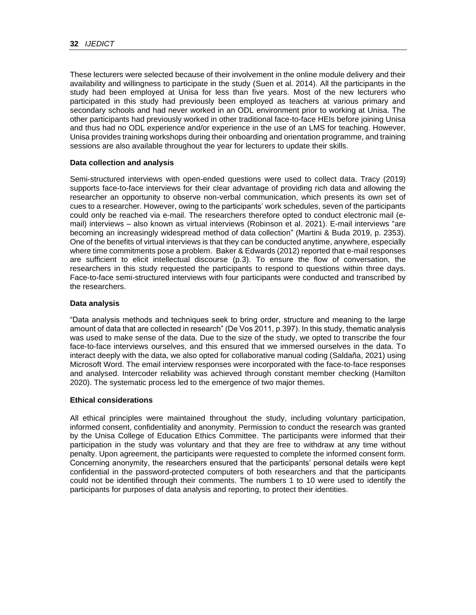These lecturers were selected because of their involvement in the online module delivery and their availability and willingness to participate in the study (Suen et al. 2014). All the participants in the study had been employed at Unisa for less than five years. Most of the new lecturers who participated in this study had previously been employed as teachers at various primary and secondary schools and had never worked in an ODL environment prior to working at Unisa. The other participants had previously worked in other traditional face-to-face HEIs before joining Unisa and thus had no ODL experience and/or experience in the use of an LMS for teaching. However, Unisa provides training workshops during their onboarding and orientation programme, and training sessions are also available throughout the year for lecturers to update their skills.

#### **Data collection and analysis**

Semi-structured interviews with open-ended questions were used to collect data. Tracy (2019) supports face-to-face interviews for their clear advantage of providing rich data and allowing the researcher an opportunity to observe non-verbal communication, which presents its own set of cues to a researcher. However, owing to the participants' work schedules, seven of the participants could only be reached via e-mail. The researchers therefore opted to conduct electronic mail (email) interviews – also known as virtual interviews (Robinson et al. 2021). E-mail interviews "are becoming an increasingly widespread method of data collection" (Martini & Buda 2019, p. 2353). One of the benefits of virtual interviews is that they can be conducted anytime, anywhere, especially where time commitments pose a problem. Baker & Edwards (2012) reported that e-mail responses are sufficient to elicit intellectual discourse (p.3). To ensure the flow of conversation, the researchers in this study requested the participants to respond to questions within three days. Face-to-face semi-structured interviews with four participants were conducted and transcribed by the researchers.

#### **Data analysis**

"Data analysis methods and techniques seek to bring order, structure and meaning to the large amount of data that are collected in research" (De Vos 2011, p.397). In this study, thematic analysis was used to make sense of the data. Due to the size of the study, we opted to transcribe the four face-to-face interviews ourselves, and this ensured that we immersed ourselves in the data. To interact deeply with the data, we also opted for collaborative manual coding (Saldaña, 2021) using Microsoft Word. The email interview responses were incorporated with the face-to-face responses and analysed. Intercoder reliability was achieved through constant member checking (Hamilton 2020). The systematic process led to the emergence of two major themes.

#### **Ethical considerations**

All ethical principles were maintained throughout the study, including voluntary participation, informed consent, confidentiality and anonymity. Permission to conduct the research was granted by the Unisa College of Education Ethics Committee. The participants were informed that their participation in the study was voluntary and that they are free to withdraw at any time without penalty. Upon agreement, the participants were requested to complete the informed consent form. Concerning anonymity, the researchers ensured that the participants' personal details were kept confidential in the password-protected computers of both researchers and that the participants could not be identified through their comments. The numbers 1 to 10 were used to identify the participants for purposes of data analysis and reporting, to protect their identities.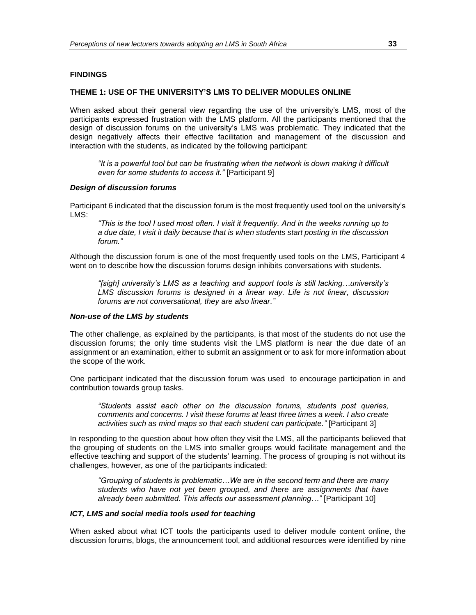#### **FINDINGS**

#### **THEME 1: USE OF THE UNIVERSITY'S LMS TO DELIVER MODULES ONLINE**

When asked about their general view regarding the use of the university's LMS, most of the participants expressed frustration with the LMS platform. All the participants mentioned that the design of discussion forums on the university's LMS was problematic. They indicated that the design negatively affects their effective facilitation and management of the discussion and interaction with the students, as indicated by the following participant:

*"It is a powerful tool but can be frustrating when the network is down making it difficult even for some students to access it."* [Participant 9]

#### *Design of discussion forums*

Participant 6 indicated that the discussion forum is the most frequently used tool on the university's LMS:

*"This is the tool I used most often. I visit it frequently. And in the weeks running up to a due date, I visit it daily because that is when students start posting in the discussion forum."*

Although the discussion forum is one of the most frequently used tools on the LMS, Participant 4 went on to describe how the discussion forums design inhibits conversations with students.

*"[sigh] university's LMS as a teaching and support tools is still lacking…university's LMS discussion forums is designed in a linear way. Life is not linear, discussion forums are not conversational, they are also linear."* 

#### *Non-use of the LMS by students*

The other challenge, as explained by the participants, is that most of the students do not use the discussion forums; the only time students visit the LMS platform is near the due date of an assignment or an examination, either to submit an assignment or to ask for more information about the scope of the work.

One participant indicated that the discussion forum was used to encourage participation in and contribution towards group tasks.

*"Students assist each other on the discussion forums, students post queries, comments and concerns. I visit these forums at least three times a week. I also create activities such as mind maps so that each student can participate."* [Participant 3]

In responding to the question about how often they visit the LMS, all the participants believed that the grouping of students on the LMS into smaller groups would facilitate management and the effective teaching and support of the students' learning. The process of grouping is not without its challenges, however, as one of the participants indicated:

*"Grouping of students is problematic…We are in the second term and there are many students who have not yet been grouped, and there are assignments that have already been submitted. This affects our assessment planning…"* [Participant 10]

#### *ICT, LMS and social media tools used for teaching*

When asked about what ICT tools the participants used to deliver module content online, the discussion forums, blogs, the announcement tool, and additional resources were identified by nine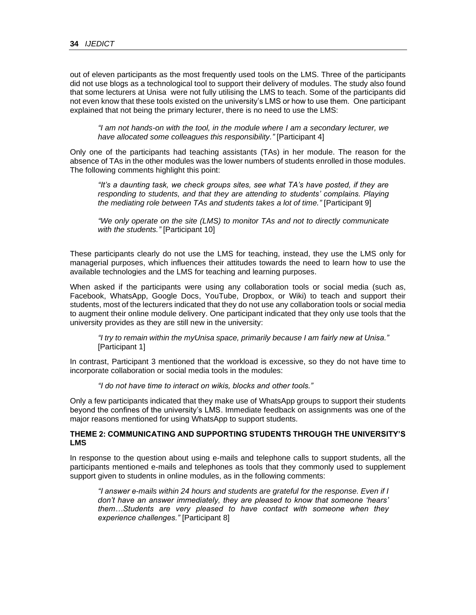out of eleven participants as the most frequently used tools on the LMS. Three of the participants did not use blogs as a technological tool to support their delivery of modules. The study also found that some lecturers at Unisa were not fully utilising the LMS to teach. Some of the participants did not even know that these tools existed on the university's LMS or how to use them. One participant explained that not being the primary lecturer, there is no need to use the LMS:

*"I am not hands-on with the tool, in the module where I am a secondary lecturer, we have allocated some colleagues this responsibility."* [Participant 4]

Only one of the participants had teaching assistants (TAs) in her module. The reason for the absence of TAs in the other modules was the lower numbers of students enrolled in those modules. The following comments highlight this point:

*"It's a daunting task, we check groups sites, see what TA's have posted, if they are responding to students, and that they are attending to students' complains. Playing the mediating role between TAs and students takes a lot of time."* [Participant 9]

*"We only operate on the site (LMS) to monitor TAs and not to directly communicate with the students."* [Participant 10]

These participants clearly do not use the LMS for teaching, instead, they use the LMS only for managerial purposes, which influences their attitudes towards the need to learn how to use the available technologies and the LMS for teaching and learning purposes.

When asked if the participants were using any collaboration tools or social media (such as, Facebook, WhatsApp, Google Docs, YouTube, Dropbox, or Wiki) to teach and support their students, most of the lecturers indicated that they do not use any collaboration tools or social media to augment their online module delivery. One participant indicated that they only use tools that the university provides as they are still new in the university:

*"I try to remain within the myUnisa space, primarily because I am fairly new at Unisa."* [Participant 1]

In contrast, Participant 3 mentioned that the workload is excessive, so they do not have time to incorporate collaboration or social media tools in the modules:

*"I do not have time to interact on wikis, blocks and other tools."*

Only a few participants indicated that they make use of WhatsApp groups to support their students beyond the confines of the university's LMS. Immediate feedback on assignments was one of the major reasons mentioned for using WhatsApp to support students.

### **THEME 2: COMMUNICATING AND SUPPORTING STUDENTS THROUGH THE UNIVERSITY'S LMS**

In response to the question about using e-mails and telephone calls to support students, all the participants mentioned e-mails and telephones as tools that they commonly used to supplement support given to students in online modules, as in the following comments:

*"I answer e-mails within 24 hours and students are grateful for the response. Even if I don't have an answer immediately, they are pleased to know that someone 'hears' them…Students are very pleased to have contact with someone when they experience challenges."* [Participant 8]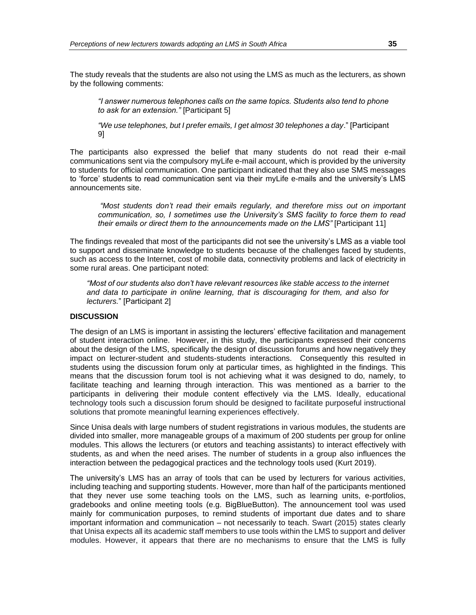The study reveals that the students are also not using the LMS as much as the lecturers, as shown by the following comments:

*"I answer numerous telephones calls on the same topics. Students also tend to phone to ask for an extension."* [Participant 5]

*"We use telephones, but I prefer emails, I get almost 30 telephones a day*." [Participant 9]

The participants also expressed the belief that many students do not read their e-mail communications sent via the compulsory myLife e-mail account, which is provided by the university to students for official communication. One participant indicated that they also use SMS messages to 'force' students to read communication sent via their myLife e-mails and the university's LMS announcements site.

*"Most students don't read their emails regularly, and therefore miss out on important communication, so, I sometimes use the University's SMS facility to force them to read their emails or direct them to the announcements made on the LMS"* [Participant 11]

The findings revealed that most of the participants did not see the university's LMS as a viable tool to support and disseminate knowledge to students because of the challenges faced by students, such as access to the Internet, cost of mobile data, connectivity problems and lack of electricity in some rural areas. One participant noted:

*"Most of our students also don't have relevant resources like stable access to the internet and data to participate in online learning, that is discouraging for them, and also for lecturers.*" [Participant 2]

# **DISCUSSION**

The design of an LMS is important in assisting the lecturers' effective facilitation and management of student interaction online. However, in this study, the participants expressed their concerns about the design of the LMS, specifically the design of discussion forums and how negatively they impact on lecturer-student and students-students interactions. Consequently this resulted in students using the discussion forum only at particular times, as highlighted in the findings. This means that the discussion forum tool is not achieving what it was designed to do, namely, to facilitate teaching and learning through interaction. This was mentioned as a barrier to the participants in delivering their module content effectively via the LMS. Ideally, educational technology tools such a discussion forum should be designed to facilitate purposeful instructional solutions that promote meaningful learning experiences effectively.

Since Unisa deals with large numbers of student registrations in various modules, the students are divided into smaller, more manageable groups of a maximum of 200 students per group for online modules. This allows the lecturers (or etutors and teaching assistants) to interact effectively with students, as and when the need arises. The number of students in a group also influences the interaction between the pedagogical practices and the technology tools used (Kurt 2019).

The university's LMS has an array of tools that can be used by lecturers for various activities, including teaching and supporting students. However, more than half of the participants mentioned that they never use some teaching tools on the LMS, such as learning units, e-portfolios, gradebooks and online meeting tools (e.g. BigBlueButton). The announcement tool was used mainly for communication purposes, to remind students of important due dates and to share important information and communication – not necessarily to teach. Swart (2015) states clearly that Unisa expects all its academic staff members to use tools within the LMS to support and deliver modules. However, it appears that there are no mechanisms to ensure that the LMS is fully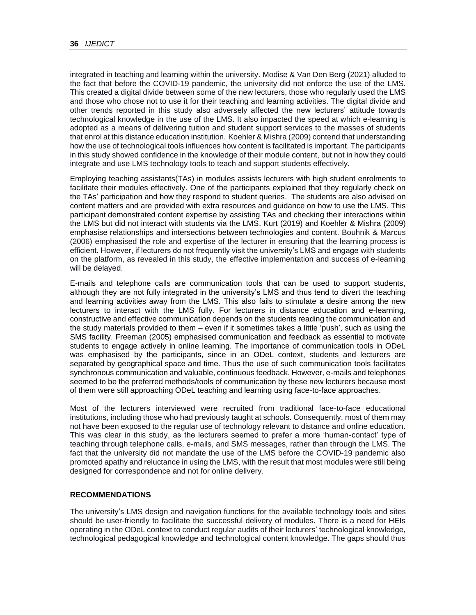integrated in teaching and learning within the university. Modise & Van Den Berg (2021) alluded to the fact that before the COVID-19 pandemic, the university did not enforce the use of the LMS. This created a digital divide between some of the new lecturers, those who regularly used the LMS and those who chose not to use it for their teaching and learning activities. The digital divide and other trends reported in this study also adversely affected the new lecturers' attitude towards technological knowledge in the use of the LMS. It also impacted the speed at which e-learning is adopted as a means of delivering tuition and student support services to the masses of students that enrol at this distance education institution. Koehler & Mishra (2009) contend that understanding how the use of technological tools influences how content is facilitated is important. The participants in this study showed confidence in the knowledge of their module content, but not in how they could integrate and use LMS technology tools to teach and support students effectively.

Employing teaching assistants(TAs) in modules assists lecturers with high student enrolments to facilitate their modules effectively. One of the participants explained that they regularly check on the TAs' participation and how they respond to student queries. The students are also advised on content matters and are provided with extra resources and guidance on how to use the LMS. This participant demonstrated content expertise by assisting TAs and checking their interactions within the LMS but did not interact with students via the LMS. Kurt (2019) and Koehler & Mishra (2009) emphasise relationships and intersections between technologies and content. Bouhnik & Marcus (2006) emphasised the role and expertise of the lecturer in ensuring that the learning process is efficient. However, if lecturers do not frequently visit the university's LMS and engage with students on the platform, as revealed in this study, the effective implementation and success of e-learning will be delayed.

E-mails and telephone calls are communication tools that can be used to support students, although they are not fully integrated in the university's LMS and thus tend to divert the teaching and learning activities away from the LMS. This also fails to stimulate a desire among the new lecturers to interact with the LMS fully. For lecturers in distance education and e-learning, constructive and effective communication depends on the students reading the communication and the study materials provided to them – even if it sometimes takes a little 'push', such as using the SMS facility. Freeman (2005) emphasised communication and feedback as essential to motivate students to engage actively in online learning. The importance of communication tools in ODeL was emphasised by the participants, since in an ODeL context, students and lecturers are separated by geographical space and time. Thus the use of such communication tools facilitates synchronous communication and valuable, continuous feedback. However, e-mails and telephones seemed to be the preferred methods/tools of communication by these new lecturers because most of them were still approaching ODeL teaching and learning using face-to-face approaches.

Most of the lecturers interviewed were recruited from traditional face-to-face educational institutions, including those who had previously taught at schools. Consequently, most of them may not have been exposed to the regular use of technology relevant to distance and online education. This was clear in this study, as the lecturers seemed to prefer a more 'human-contact' type of teaching through telephone calls, e-mails, and SMS messages, rather than through the LMS. The fact that the university did not mandate the use of the LMS before the COVID-19 pandemic also promoted apathy and reluctance in using the LMS, with the result that most modules were still being designed for correspondence and not for online delivery.

## **RECOMMENDATIONS**

The university's LMS design and navigation functions for the available technology tools and sites should be user-friendly to facilitate the successful delivery of modules. There is a need for HEIs operating in the ODeL context to conduct regular audits of their lecturers' technological knowledge, technological pedagogical knowledge and technological content knowledge. The gaps should thus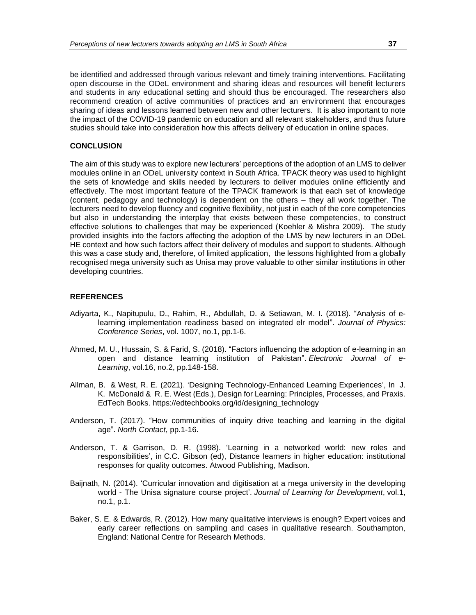be identified and addressed through various relevant and timely training interventions. Facilitating open discourse in the ODeL environment and sharing ideas and resources will benefit lecturers and students in any educational setting and should thus be encouraged. The researchers also recommend creation of active communities of practices and an environment that encourages sharing of ideas and lessons learned between new and other lecturers. It is also important to note the impact of the COVID-19 pandemic on education and all relevant stakeholders, and thus future studies should take into consideration how this affects delivery of education in online spaces.

#### **CONCLUSION**

The aim of this study was to explore new lecturers' perceptions of the adoption of an LMS to deliver modules online in an ODeL university context in South Africa. TPACK theory was used to highlight the sets of knowledge and skills needed by lecturers to deliver modules online efficiently and effectively. The most important feature of the TPACK framework is that each set of knowledge (content, pedagogy and technology) is dependent on the others – they all work together. The lecturers need to develop fluency and cognitive flexibility, not just in each of the core competencies but also in understanding the interplay that exists between these competencies, to construct effective solutions to challenges that may be experienced (Koehler & Mishra 2009). The study provided insights into the factors affecting the adoption of the LMS by new lecturers in an ODeL HE context and how such factors affect their delivery of modules and support to students. Although this was a case study and, therefore, of limited application, the lessons highlighted from a globally recognised mega university such as Unisa may prove valuable to other similar institutions in other developing countries.

#### **REFERENCES**

- Adiyarta, K., Napitupulu, D., Rahim, R., Abdullah, D. & Setiawan, M. I. (2018). "Analysis of elearning implementation readiness based on integrated elr model". *Journal of Physics: Conference Series*, vol. 1007, no.1, pp.1-6.
- Ahmed, M. U., Hussain, S. & Farid, S. (2018). "Factors influencing the adoption of e-learning in an open and distance learning institution of Pakistan". *Electronic Journal of e-Learning*, vol.16, no.2, pp.148-158.
- Allman, B. & West, R. E. (2021). 'Designing Technology-Enhanced Learning Experiences', In J. K. McDonald & R. E. West (Eds.), Design for Learning: Principles, Processes, and Praxis. EdTech Books. https://edtechbooks.org/id/designing\_technology
- Anderson, T. (2017). "How communities of inquiry drive teaching and learning in the digital age". *North Contact*, pp.1-16.
- Anderson, T. & Garrison, D. R. (1998). 'Learning in a networked world: new roles and responsibilities', in C.C. Gibson (ed), Distance learners in higher education: institutional responses for quality outcomes. Atwood Publishing, Madison.
- Baijnath, N. (2014). 'Curricular innovation and digitisation at a mega university in the developing world - The Unisa signature course project'. *Journal of Learning for Development*, vol.1, no.1, p.1.
- Baker, S. E. & Edwards, R. (2012). How many qualitative interviews is enough? Expert voices and early career reflections on sampling and cases in qualitative research. Southampton, England: National Centre for Research Methods.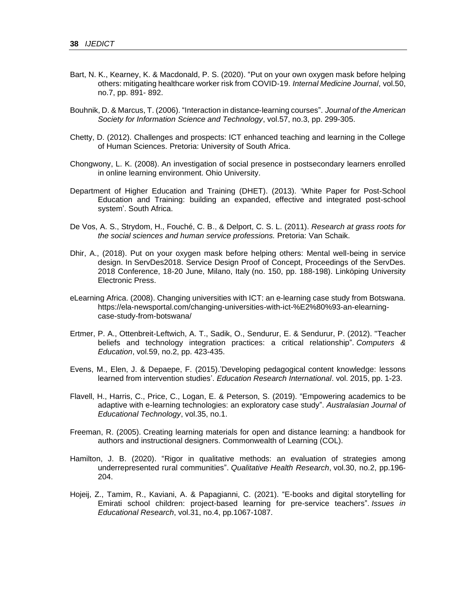- Bart, N. K., Kearney, K. & Macdonald, P. S. (2020). "Put on your own oxygen mask before helping others: mitigating healthcare worker risk from COVID‐19. *Internal Medicine Journal*, vol.50, no.7, pp. 891- 892.
- Bouhnik, D. & Marcus, T. (2006). "Interaction in distance‐learning courses". *Journal of the American Society for Information Science and Technology*, vol.57, no.3, pp. 299-305.
- Chetty, D. (2012). Challenges and prospects: ICT enhanced teaching and learning in the College of Human Sciences. Pretoria: University of South Africa.
- Chongwony, L. K. (2008). An investigation of social presence in postsecondary learners enrolled in online learning environment. Ohio University.
- Department of Higher Education and Training (DHET). (2013). 'White Paper for Post-School Education and Training: building an expanded, effective and integrated post-school system'. South Africa.
- De Vos, A. S., Strydom, H., Fouché, C. B., & Delport, C. S. L. (2011). *Research at grass roots for the social sciences and human service professions.* Pretoria: Van Schaik.
- Dhir, A., (2018). Put on your oxygen mask before helping others: Mental well-being in service design. In ServDes2018. Service Design Proof of Concept, Proceedings of the ServDes. 2018 Conference, 18-20 June, Milano, Italy (no. 150, pp. 188-198). Linköping University Electronic Press.
- eLearning Africa. (2008). Changing universities with ICT: an e-learning case study from Botswana. https://ela-newsportal.com/changing-universities-with-ict-%E2%80%93-an-elearningcase-study-from-botswana/
- Ertmer, P. A., Ottenbreit-Leftwich, A. T., Sadik, O., Sendurur, E. & Sendurur, P. (2012). "Teacher beliefs and technology integration practices: a critical relationship". *Computers & Education*, vol.59, no.2, pp. 423-435.
- Evens, M., Elen, J. & Depaepe, F. (2015).'Developing pedagogical content knowledge: lessons learned from intervention studies'. *Education Research International*. vol. 2015, pp. 1-23.
- Flavell, H., Harris, C., Price, C., Logan, E. & Peterson, S. (2019). "Empowering academics to be adaptive with e-learning technologies: an exploratory case study". *Australasian Journal of Educational Technology*, vol.35, no.1.
- Freeman, R. (2005). Creating learning materials for open and distance learning: a handbook for authors and instructional designers. Commonwealth of Learning (COL).
- Hamilton, J. B. (2020). "Rigor in qualitative methods: an evaluation of strategies among underrepresented rural communities". *Qualitative Health Research*, vol.30, no.2, pp.196- 204.
- Hojeij, Z., Tamim, R., Kaviani, A. & Papagianni, C. (2021). "E-books and digital storytelling for Emirati school children: project-based learning for pre-service teachers". *Issues in Educational Research*, vol.31, no.4, pp.1067-1087.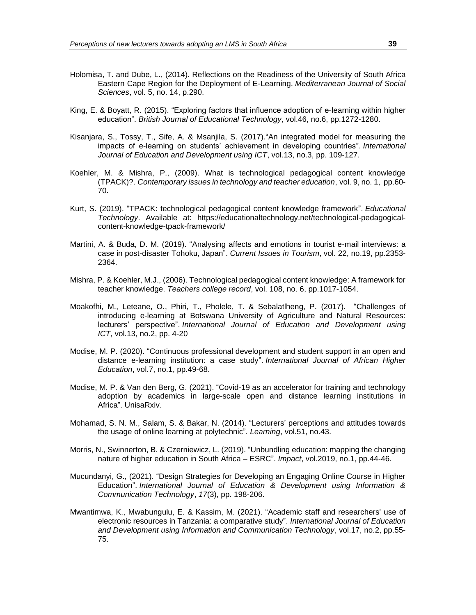- Holomisa, T. and Dube, L., (2014). Reflections on the Readiness of the University of South Africa Eastern Cape Region for the Deployment of E-Learning. *Mediterranean Journal of Social Sciences*, vol. 5, no. 14, p.290.
- King, E. & Boyatt, R. (2015). "Exploring factors that influence adoption of e‐learning within higher education". *British Journal of Educational Technology*, vol.46, no.6, pp.1272-1280.
- Kisanjara, S., Tossy, T., Sife, A. & Msanjila, S. (2017)."An integrated model for measuring the impacts of e-learning on students' achievement in developing countries". *International Journal of Education and Development using ICT*, vol.13, no.3, pp. 109-127.
- Koehler, M. & Mishra, P., (2009). What is technological pedagogical content knowledge (TPACK)?. *Contemporary issues in technology and teacher education*, vol. 9, no. 1, pp.60- 70.
- Kurt, S. (2019). "TPACK: technological pedagogical content knowledge framework". *Educational Technology*. Available at: https://educationaltechnology.net/technological-pedagogicalcontent-knowledge-tpack-framework/
- Martini, A. & Buda, D. M. (2019). "Analysing affects and emotions in tourist e-mail interviews: a case in post-disaster Tohoku, Japan". *Current Issues in Tourism*, vol. 22, no.19, pp.2353- 2364.
- Mishra, P. & Koehler, M.J., (2006). Technological pedagogical content knowledge: A framework for teacher knowledge. *Teachers college record*, vol. 108, no. 6, pp.1017-1054.
- Moakofhi, M., Leteane, O., Phiri, T., Pholele, T. & Sebalatlheng, P. (2017). "Challenges of introducing e-learning at Botswana University of Agriculture and Natural Resources: lecturers' perspective". *International Journal of Education and Development using ICT*, vol.13, no.2, pp. 4-20
- Modise, M. P. (2020). "Continuous professional development and student support in an open and distance e-learning institution: a case study". *International Journal of African Higher Education*, vol.7, no.1, pp.49-68.
- Modise, M. P. & Van den Berg, G. (2021). "Covid-19 as an accelerator for training and technology adoption by academics in large-scale open and distance learning institutions in Africa". UnisaRxiv.
- Mohamad, S. N. M., Salam, S. & Bakar, N. (2014). "Lecturers' perceptions and attitudes towards the usage of online learning at polytechnic". *Learning*, vol.51, no.43.
- Morris, N., Swinnerton, B. & Czerniewicz, L. (2019). "Unbundling education: mapping the changing nature of higher education in South Africa – ESRC". *Impact*, vol.2019, no.1, pp.44-46.
- Mucundanyi, G., (2021). "Design Strategies for Developing an Engaging Online Course in Higher Education". *International Journal of Education & Development using Information & Communication Technology*, *17*(3), pp. 198-206.
- Mwantimwa, K., Mwabungulu, E. & Kassim, M. (2021). "Academic staff and researchers' use of electronic resources in Tanzania: a comparative study". *International Journal of Education and Development using Information and Communication Technology*, vol.17, no.2, pp.55- 75.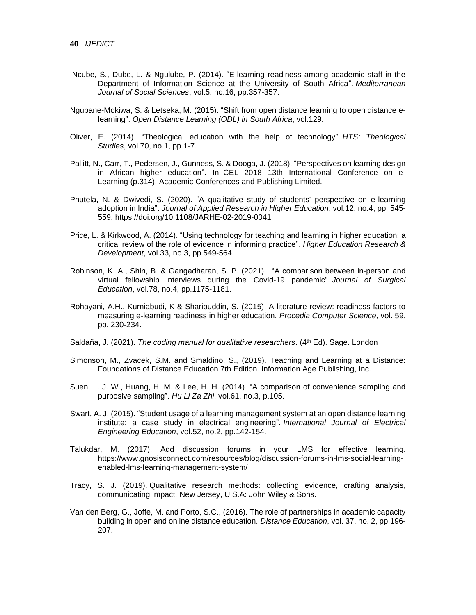- Ncube, S., Dube, L. & Ngulube, P. (2014). "E-learning readiness among academic staff in the Department of Information Science at the University of South Africa". *Mediterranean Journal of Social Sciences*, vol.5, no.16, pp.357-357.
- Ngubane-Mokiwa, S. & Letseka, M. (2015). "Shift from open distance learning to open distance elearning". *Open Distance Learning (ODL) in South Africa*, vol.129.
- Oliver, E. (2014). "Theological education with the help of technology". *HTS: Theological Studies*, vol.70, no.1, pp.1-7.
- Pallitt, N., Carr, T., Pedersen, J., Gunness, S. & Dooga, J. (2018). "Perspectives on learning design in African higher education". In ICEL 2018 13th International Conference on e-Learning (p.314). Academic Conferences and Publishing Limited.
- Phutela, N. & Dwivedi, S. (2020). "A qualitative study of students' perspective on e-learning adoption in India". *Journal of Applied Research in Higher Education*, vol.12, no.4, pp. 545- 559. https://doi.org/10.1108/JARHE-02-2019-0041
- Price, L. & Kirkwood, A. (2014). "Using technology for teaching and learning in higher education: a critical review of the role of evidence in informing practice". *Higher Education Research & Development*, vol.33, no.3, pp.549-564.
- Robinson, K. A., Shin, B. & Gangadharan, S. P. (2021). "A comparison between in-person and virtual fellowship interviews during the Covid-19 pandemic". *Journal of Surgical Education*, vol.78, no.4, pp.1175-1181.
- Rohayani, A.H., Kurniabudi, K & Sharipuddin, S. (2015). A literature review: readiness factors to measuring e-learning readiness in higher education. *Procedia Computer Science*, vol. 59, pp. 230-234.
- Saldaña, J. (2021). *The coding manual for qualitative researchers*. (4<sup>th</sup> Ed). Sage. London
- Simonson, M., Zvacek, S.M. and Smaldino, S., (2019). Teaching and Learning at a Distance: Foundations of Distance Education 7th Edition. Information Age Publishing, Inc.
- Suen, L. J. W., Huang, H. M. & Lee, H. H. (2014). "A comparison of convenience sampling and purposive sampling". *Hu Li Za Zhi*, vol.61, no.3, p.105.
- Swart, A. J. (2015). "Student usage of a learning management system at an open distance learning institute: a case study in electrical engineering". *International Journal of Electrical Engineering Education*, vol.52, no.2, pp.142-154.
- Talukdar, M. (2017). Add discussion forums in your LMS for effective learning. https://www.gnosisconnect.com/resources/blog/discussion-forums-in-lms-social-learningenabled-lms-learning-management-system/
- Tracy, S. J. (2019). Qualitative research methods: collecting evidence, crafting analysis, communicating impact. New Jersey, U.S.A: John Wiley & Sons.
- Van den Berg, G., Joffe, M. and Porto, S.C., (2016). The role of partnerships in academic capacity building in open and online distance education. *Distance Education*, vol. 37, no. 2, pp.196- 207.